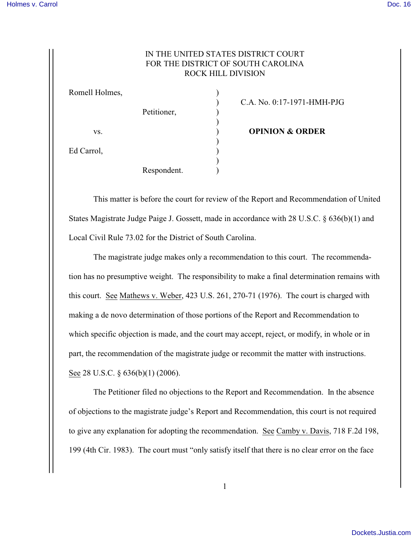## IN THE UNITED STATES DISTRICT COURT FOR THE DISTRICT OF SOUTH CAROLINA ROCK HILL DIVISION

| Romell Holmes, |             |                            |
|----------------|-------------|----------------------------|
|                |             | C.A. No. 0:17-1971-HMH     |
|                | Petitioner, |                            |
|                |             |                            |
| VS.            |             | <b>OPINION &amp; ORDER</b> |
|                |             |                            |
| Ed Carrol,     |             |                            |
|                |             |                            |
|                | Respondent. |                            |

) C.A. No. 0:17-1971-HMH-PJG

This matter is before the court for review of the Report and Recommendation of United States Magistrate Judge Paige J. Gossett, made in accordance with 28 U.S.C. § 636(b)(1) and Local Civil Rule 73.02 for the District of South Carolina.

The magistrate judge makes only a recommendation to this court. The recommendation has no presumptive weight. The responsibility to make a final determination remains with this court. See Mathews v. Weber, 423 U.S. 261, 270-71 (1976). The court is charged with making a de novo determination of those portions of the Report and Recommendation to which specific objection is made, and the court may accept, reject, or modify, in whole or in part, the recommendation of the magistrate judge or recommit the matter with instructions. See 28 U.S.C. § 636(b)(1) (2006).

The Petitioner filed no objections to the Report and Recommendation. In the absence of objections to the magistrate judge's Report and Recommendation, this court is not required to give any explanation for adopting the recommendation. See Camby v. Davis, 718 F.2d 198, 199 (4th Cir. 1983). The court must "only satisfy itself that there is no clear error on the face